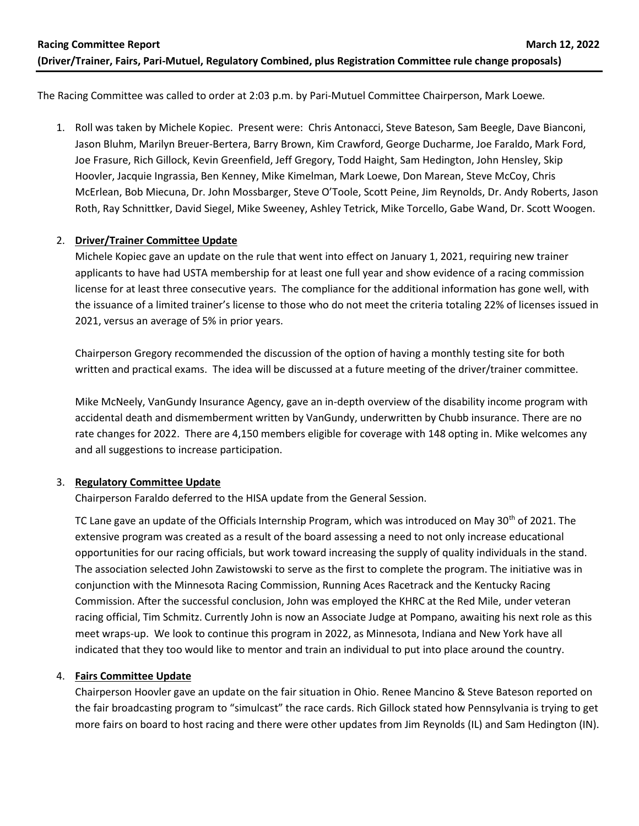The Racing Committee was called to order at 2:03 p.m. by Pari-Mutuel Committee Chairperson, Mark Loewe*.*

1. Roll was taken by Michele Kopiec. Present were: Chris Antonacci, Steve Bateson, Sam Beegle, Dave Bianconi, Jason Bluhm, Marilyn Breuer-Bertera, Barry Brown, Kim Crawford, George Ducharme, Joe Faraldo, Mark Ford, Joe Frasure, Rich Gillock, Kevin Greenfield, Jeff Gregory, Todd Haight, Sam Hedington, John Hensley, Skip Hoovler, Jacquie Ingrassia, Ben Kenney, Mike Kimelman, Mark Loewe, Don Marean, Steve McCoy, Chris McErlean, Bob Miecuna, Dr. John Mossbarger, Steve O'Toole, Scott Peine, Jim Reynolds, Dr. Andy Roberts, Jason Roth, Ray Schnittker, David Siegel, Mike Sweeney, Ashley Tetrick, Mike Torcello, Gabe Wand, Dr. Scott Woogen.

# 2. **Driver/Trainer Committee Update**

Michele Kopiec gave an update on the rule that went into effect on January 1, 2021, requiring new trainer applicants to have had USTA membership for at least one full year and show evidence of a racing commission license for at least three consecutive years. The compliance for the additional information has gone well, with the issuance of a limited trainer's license to those who do not meet the criteria totaling 22% of licenses issued in 2021, versus an average of 5% in prior years.

Chairperson Gregory recommended the discussion of the option of having a monthly testing site for both written and practical exams. The idea will be discussed at a future meeting of the driver/trainer committee.

Mike McNeely, VanGundy Insurance Agency, gave an in-depth overview of the disability income program with accidental death and dismemberment written by VanGundy, underwritten by Chubb insurance. There are no rate changes for 2022. There are 4,150 members eligible for coverage with 148 opting in. Mike welcomes any and all suggestions to increase participation.

# 3. **Regulatory Committee Update**

Chairperson Faraldo deferred to the HISA update from the General Session.

TC Lane gave an update of the Officials Internship Program, which was introduced on May 30<sup>th</sup> of 2021. The extensive program was created as a result of the board assessing a need to not only increase educational opportunities for our racing officials, but work toward increasing the supply of quality individuals in the stand. The association selected John Zawistowski to serve as the first to complete the program. The initiative was in conjunction with the Minnesota Racing Commission, Running Aces Racetrack and the Kentucky Racing Commission. After the successful conclusion, John was employed the KHRC at the Red Mile, under veteran racing official, Tim Schmitz. Currently John is now an Associate Judge at Pompano, awaiting his next role as this meet wraps-up. We look to continue this program in 2022, as Minnesota, Indiana and New York have all indicated that they too would like to mentor and train an individual to put into place around the country.

#### 4. **Fairs Committee Update**

Chairperson Hoovler gave an update on the fair situation in Ohio. Renee Mancino & Steve Bateson reported on the fair broadcasting program to "simulcast" the race cards. Rich Gillock stated how Pennsylvania is trying to get more fairs on board to host racing and there were other updates from Jim Reynolds (IL) and Sam Hedington (IN).